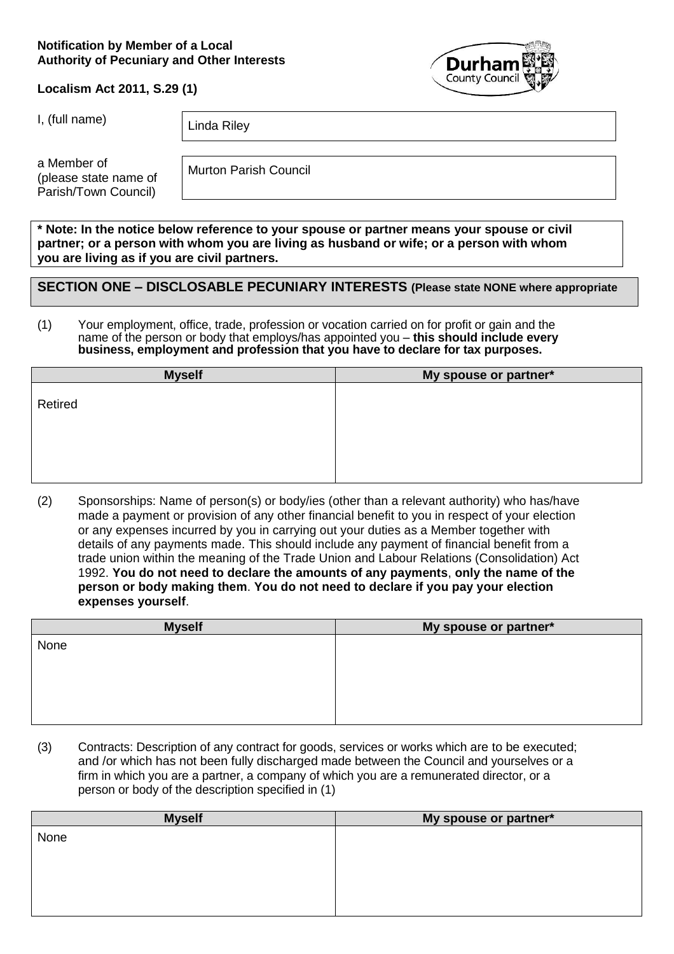#### **Notification by Member of a Local Authority of Pecuniary and Other Interests**



## **Localism Act 2011, S.29 (1)**

I, (full name)  $\Big|$  Linda Riley

a Member of (please state name of Parish/Town Council)

Murton Parish Council

**\* Note: In the notice below reference to your spouse or partner means your spouse or civil partner; or a person with whom you are living as husband or wife; or a person with whom you are living as if you are civil partners.**

# **SECTION ONE – DISCLOSABLE PECUNIARY INTERESTS (Please state NONE where appropriate**

(1) Your employment, office, trade, profession or vocation carried on for profit or gain and the name of the person or body that employs/has appointed you – **this should include every business, employment and profession that you have to declare for tax purposes.**

| <b>Myself</b> | My spouse or partner* |
|---------------|-----------------------|
| Retired       |                       |
|               |                       |

(2) Sponsorships: Name of person(s) or body/ies (other than a relevant authority) who has/have made a payment or provision of any other financial benefit to you in respect of your election or any expenses incurred by you in carrying out your duties as a Member together with details of any payments made. This should include any payment of financial benefit from a trade union within the meaning of the Trade Union and Labour Relations (Consolidation) Act 1992. **You do not need to declare the amounts of any payments**, **only the name of the person or body making them**. **You do not need to declare if you pay your election expenses yourself**.

| <b>Myself</b> | My spouse or partner* |
|---------------|-----------------------|
| None          |                       |
|               |                       |
|               |                       |
|               |                       |
|               |                       |
|               |                       |

(3) Contracts: Description of any contract for goods, services or works which are to be executed; and /or which has not been fully discharged made between the Council and yourselves or a firm in which you are a partner, a company of which you are a remunerated director, or a person or body of the description specified in (1)

| <b>Myself</b> | My spouse or partner* |
|---------------|-----------------------|
| None          |                       |
|               |                       |
|               |                       |
|               |                       |
|               |                       |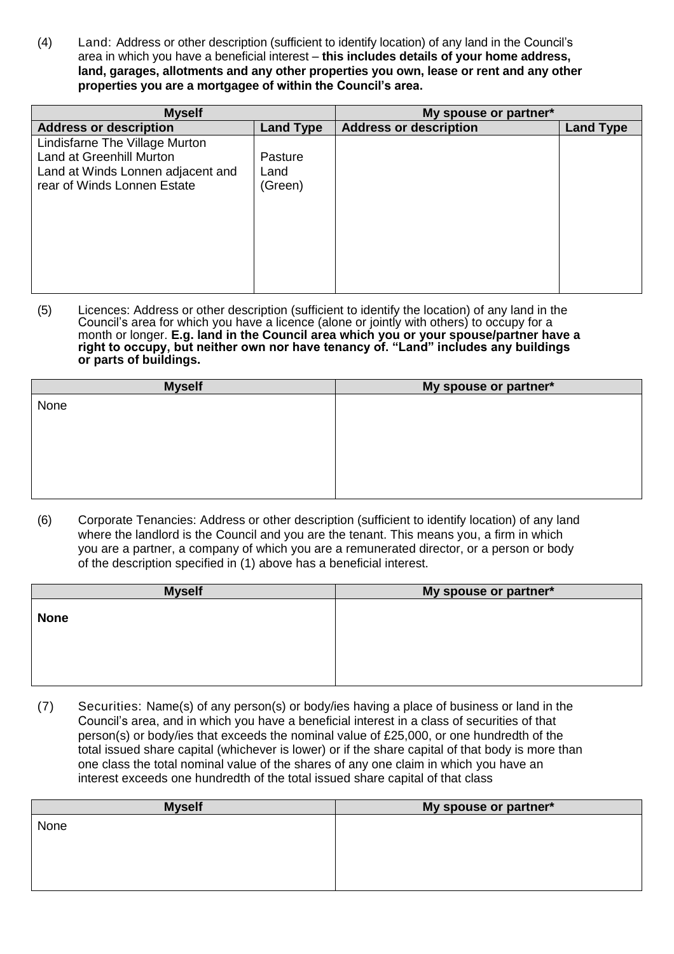(4) Land: Address or other description (sufficient to identify location) of any land in the Council's area in which you have a beneficial interest – **this includes details of your home address, land, garages, allotments and any other properties you own, lease or rent and any other properties you are a mortgagee of within the Council's area.**

| <b>Myself</b>                     |                  | My spouse or partner*         |                  |
|-----------------------------------|------------------|-------------------------------|------------------|
| <b>Address or description</b>     | <b>Land Type</b> | <b>Address or description</b> | <b>Land Type</b> |
| Lindisfarne The Village Murton    |                  |                               |                  |
| Land at Greenhill Murton          | Pasture          |                               |                  |
| Land at Winds Lonnen adjacent and | Land             |                               |                  |
| rear of Winds Lonnen Estate       | (Green)          |                               |                  |
|                                   |                  |                               |                  |
|                                   |                  |                               |                  |
|                                   |                  |                               |                  |
|                                   |                  |                               |                  |
|                                   |                  |                               |                  |
|                                   |                  |                               |                  |
|                                   |                  |                               |                  |

(5) Licences: Address or other description (sufficient to identify the location) of any land in the Council's area for which you have a licence (alone or jointly with others) to occupy for a month or longer. **E.g. land in the Council area which you or your spouse/partner have a right to occupy, but neither own nor have tenancy of. "Land" includes any buildings or parts of buildings.**

| <b>Myself</b> | My spouse or partner* |
|---------------|-----------------------|
| None          |                       |
|               |                       |
|               |                       |
|               |                       |
|               |                       |
|               |                       |
|               |                       |

(6) Corporate Tenancies: Address or other description (sufficient to identify location) of any land where the landlord is the Council and you are the tenant. This means you, a firm in which you are a partner, a company of which you are a remunerated director, or a person or body of the description specified in (1) above has a beneficial interest.

| <b>Myself</b> | My spouse or partner* |
|---------------|-----------------------|
| <b>None</b>   |                       |
|               |                       |

(7) Securities: Name(s) of any person(s) or body/ies having a place of business or land in the Council's area, and in which you have a beneficial interest in a class of securities of that person(s) or body/ies that exceeds the nominal value of £25,000, or one hundredth of the total issued share capital (whichever is lower) or if the share capital of that body is more than one class the total nominal value of the shares of any one claim in which you have an interest exceeds one hundredth of the total issued share capital of that class

| <b>Myself</b> | My spouse or partner* |
|---------------|-----------------------|
| None          |                       |
|               |                       |
|               |                       |
|               |                       |
|               |                       |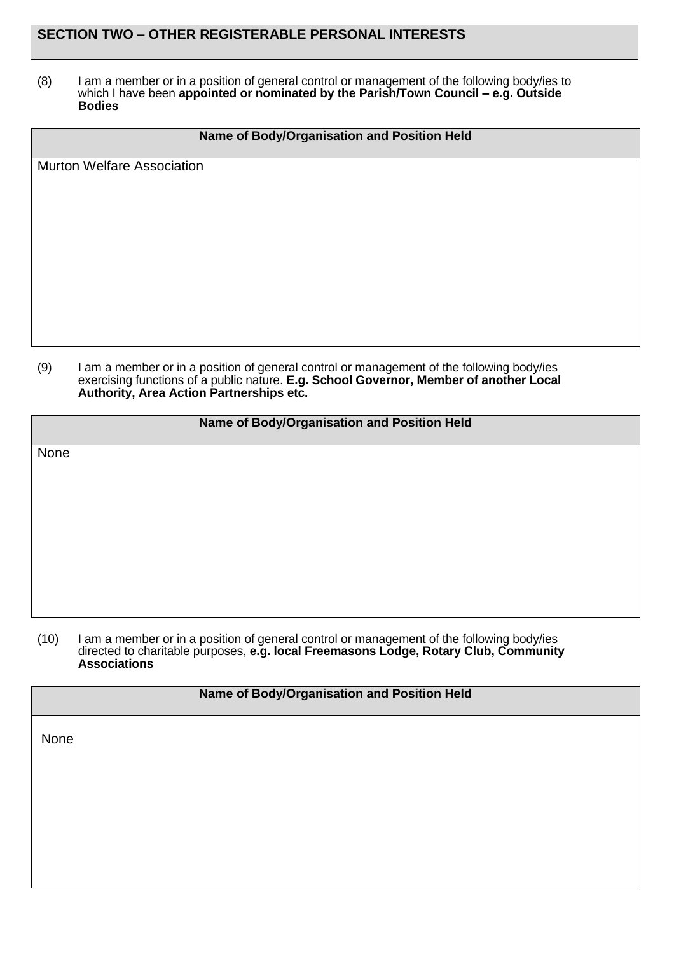# **SECTION TWO – OTHER REGISTERABLE PERSONAL INTERESTS**

(8) I am a member or in a position of general control or management of the following body/ies to which I have been **appointed or nominated by the Parish/Town Council – e.g. Outside Bodies**

## **Name of Body/Organisation and Position Held**

Murton Welfare Association

(9) I am a member or in a position of general control or management of the following body/ies exercising functions of a public nature. **E.g. School Governor, Member of another Local Authority, Area Action Partnerships etc.**

#### **Name of Body/Organisation and Position Held**

None

(10) I am a member or in a position of general control or management of the following body/ies directed to charitable purposes, **e.g. local Freemasons Lodge, Rotary Club, Community Associations**

| Name of Body/Organisation and Position Held |  |  |
|---------------------------------------------|--|--|
| None                                        |  |  |
|                                             |  |  |
|                                             |  |  |
|                                             |  |  |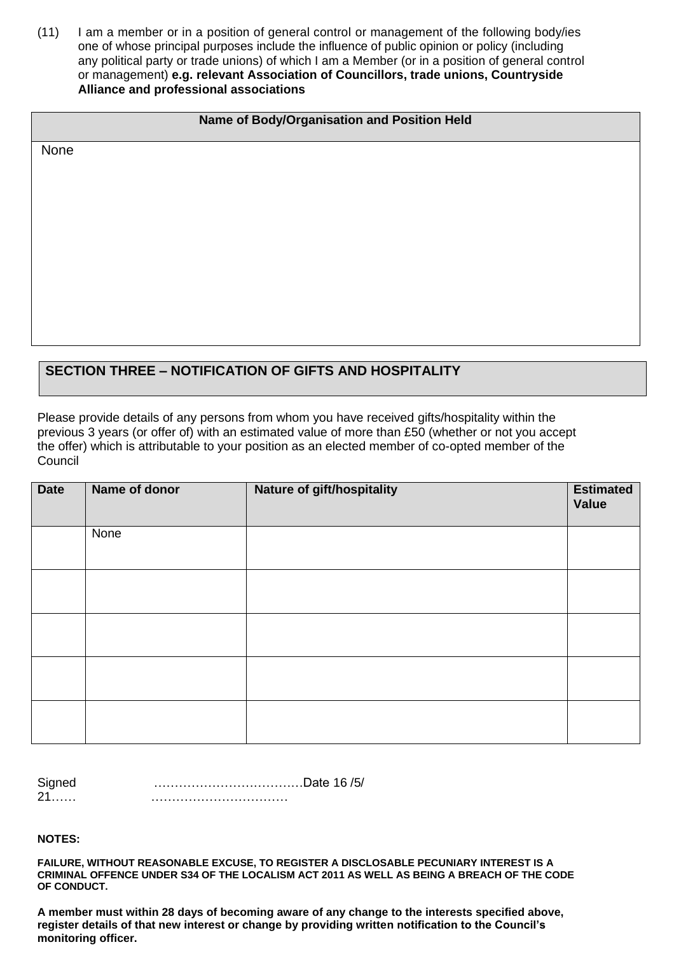(11) I am a member or in a position of general control or management of the following body/ies one of whose principal purposes include the influence of public opinion or policy (including any political party or trade unions) of which I am a Member (or in a position of general control or management) **e.g. relevant Association of Councillors, trade unions, Countryside Alliance and professional associations**

## **Name of Body/Organisation and Position Held**

None

# **SECTION THREE – NOTIFICATION OF GIFTS AND HOSPITALITY**

Please provide details of any persons from whom you have received gifts/hospitality within the previous 3 years (or offer of) with an estimated value of more than £50 (whether or not you accept the offer) which is attributable to your position as an elected member of co-opted member of the **Council** 

| <b>Date</b> | Name of donor | Nature of gift/hospitality | <b>Estimated</b><br>Value |
|-------------|---------------|----------------------------|---------------------------|
|             | None          |                            |                           |
|             |               |                            |                           |
|             |               |                            |                           |
|             |               |                            |                           |
|             |               |                            |                           |

| Signed        | Date 16 /5/ |
|---------------|-------------|
| $\mathcal{L}$ |             |

**NOTES:**

**FAILURE, WITHOUT REASONABLE EXCUSE, TO REGISTER A DISCLOSABLE PECUNIARY INTEREST IS A CRIMINAL OFFENCE UNDER S34 OF THE LOCALISM ACT 2011 AS WELL AS BEING A BREACH OF THE CODE OF CONDUCT.**

**A member must within 28 days of becoming aware of any change to the interests specified above, register details of that new interest or change by providing written notification to the Council's monitoring officer.**